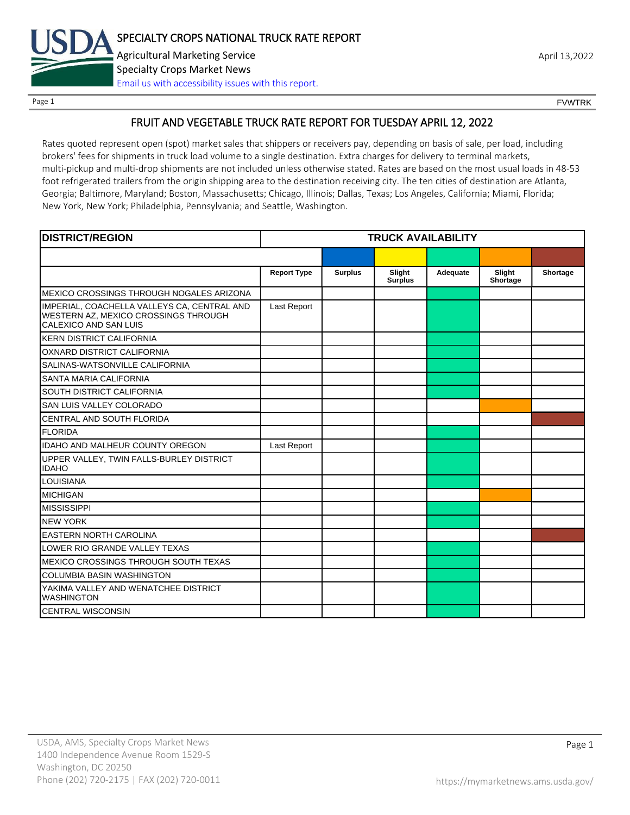

Page 1 FOUNTRK CONTROL CONTROL CONTROL CONTROL CONTROL CONTROL CONTROL CONTROL CONTROL CONTROL CONTROL CONTROL CONTROL CONTROL CONTROL CONTROL CONTROL CONTROL CONTROL CONTROL CONTROL CONTROL CONTROL CONTROL CONTROL CONTROL

#### FRUIT AND VEGETABLE TRUCK RATE REPORT FOR TUESDAY APRIL 12, 2022

Rates quoted represent open (spot) market sales that shippers or receivers pay, depending on basis of sale, per load, including brokers' fees for shipments in truck load volume to a single destination. Extra charges for delivery to terminal markets, multi-pickup and multi-drop shipments are not included unless otherwise stated. Rates are based on the most usual loads in 48-53 foot refrigerated trailers from the origin shipping area to the destination receiving city. The ten cities of destination are Atlanta, Georgia; Baltimore, Maryland; Boston, Massachusetts; Chicago, Illinois; Dallas, Texas; Los Angeles, California; Miami, Florida; New York, New York; Philadelphia, Pennsylvania; and Seattle, Washington.

| <b>DISTRICT/REGION</b>                                                                                       | <b>TRUCK AVAILABILITY</b> |                |                          |          |                    |          |
|--------------------------------------------------------------------------------------------------------------|---------------------------|----------------|--------------------------|----------|--------------------|----------|
|                                                                                                              |                           |                |                          |          |                    |          |
|                                                                                                              | <b>Report Type</b>        | <b>Surplus</b> | Slight<br><b>Surplus</b> | Adequate | Slight<br>Shortage | Shortage |
| MEXICO CROSSINGS THROUGH NOGALES ARIZONA                                                                     |                           |                |                          |          |                    |          |
| IMPERIAL, COACHELLA VALLEYS CA, CENTRAL AND<br>WESTERN AZ, MEXICO CROSSINGS THROUGH<br>CALEXICO AND SAN LUIS | Last Report               |                |                          |          |                    |          |
| <b>KERN DISTRICT CALIFORNIA</b>                                                                              |                           |                |                          |          |                    |          |
| OXNARD DISTRICT CALIFORNIA                                                                                   |                           |                |                          |          |                    |          |
| SALINAS-WATSONVILLE CALIFORNIA                                                                               |                           |                |                          |          |                    |          |
| <b>SANTA MARIA CALIFORNIA</b>                                                                                |                           |                |                          |          |                    |          |
| SOUTH DISTRICT CALIFORNIA                                                                                    |                           |                |                          |          |                    |          |
| SAN LUIS VALLEY COLORADO                                                                                     |                           |                |                          |          |                    |          |
| CENTRAL AND SOUTH FLORIDA                                                                                    |                           |                |                          |          |                    |          |
| <b>FLORIDA</b>                                                                                               |                           |                |                          |          |                    |          |
| <b>IDAHO AND MALHEUR COUNTY OREGON</b>                                                                       | Last Report               |                |                          |          |                    |          |
| UPPER VALLEY, TWIN FALLS-BURLEY DISTRICT<br><b>IDAHO</b>                                                     |                           |                |                          |          |                    |          |
| <b>LOUISIANA</b>                                                                                             |                           |                |                          |          |                    |          |
| <b>MICHIGAN</b>                                                                                              |                           |                |                          |          |                    |          |
| <b>MISSISSIPPI</b>                                                                                           |                           |                |                          |          |                    |          |
| <b>NEW YORK</b>                                                                                              |                           |                |                          |          |                    |          |
| <b>EASTERN NORTH CAROLINA</b>                                                                                |                           |                |                          |          |                    |          |
| LOWER RIO GRANDE VALLEY TEXAS                                                                                |                           |                |                          |          |                    |          |
| MEXICO CROSSINGS THROUGH SOUTH TEXAS                                                                         |                           |                |                          |          |                    |          |
| <b>COLUMBIA BASIN WASHINGTON</b>                                                                             |                           |                |                          |          |                    |          |
| YAKIMA VALLEY AND WENATCHEE DISTRICT<br><b>WASHINGTON</b>                                                    |                           |                |                          |          |                    |          |
| <b>CENTRAL WISCONSIN</b>                                                                                     |                           |                |                          |          |                    |          |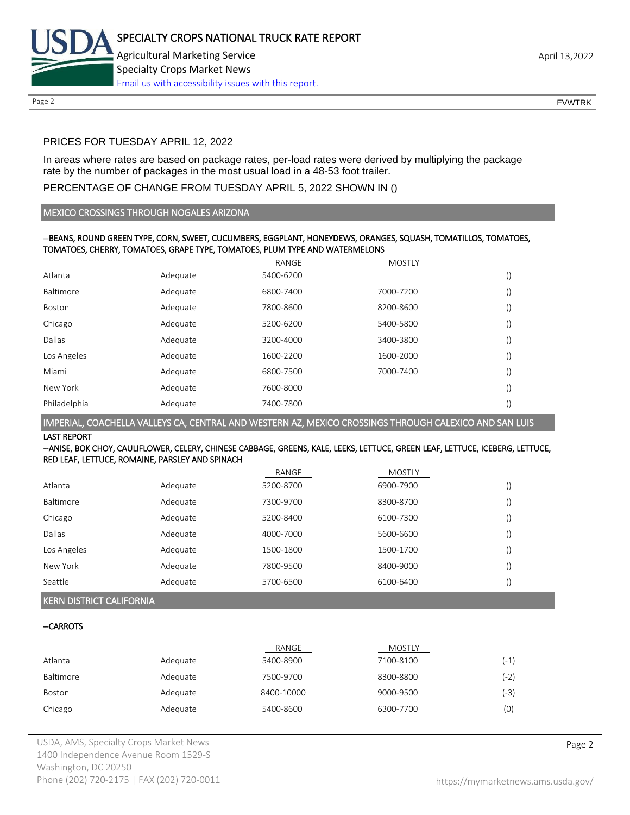

#### PRICES FOR TUESDAY APRIL 12, 2022

In areas where rates are based on package rates, per-load rates were derived by multiplying the package rate by the number of packages in the most usual load in a 48-53 foot trailer.

#### PERCENTAGE OF CHANGE FROM TUESDAY APRIL 5, 2022 SHOWN IN ()

#### MEXICO CROSSINGS THROUGH NOGALES ARIZONA

#### --BEANS, ROUND GREEN TYPE, CORN, SWEET, CUCUMBERS, EGGPLANT, HONEYDEWS, ORANGES, SQUASH, TOMATILLOS, TOMATOES, TOMATOES, CHERRY, TOMATOES, GRAPE TYPE, TOMATOES, PLUM TYPE AND WATERMELONS

|              |          | RANGE     | <b>MOSTLY</b> |                  |
|--------------|----------|-----------|---------------|------------------|
| Atlanta      | Adequate | 5400-6200 |               | $\left( \right)$ |
| Baltimore    | Adequate | 6800-7400 | 7000-7200     | $\left( \right)$ |
| Boston       | Adequate | 7800-8600 | 8200-8600     | $\left( \right)$ |
| Chicago      | Adequate | 5200-6200 | 5400-5800     | $\left( \right)$ |
| Dallas       | Adequate | 3200-4000 | 3400-3800     | $\left( \right)$ |
| Los Angeles  | Adequate | 1600-2200 | 1600-2000     | $\left( \right)$ |
| Miami        | Adequate | 6800-7500 | 7000-7400     | $\left( \right)$ |
| New York     | Adequate | 7600-8000 |               | $\left( \right)$ |
| Philadelphia | Adequate | 7400-7800 |               | $\left( \right)$ |

#### IMPERIAL, COACHELLA VALLEYS CA, CENTRAL AND WESTERN AZ, MEXICO CROSSINGS THROUGH CALEXICO AND SAN LUIS

LAST REPORT

#### --ANISE, BOK CHOY, CAULIFLOWER, CELERY, CHINESE CABBAGE, GREENS, KALE, LEEKS, LETTUCE, GREEN LEAF, LETTUCE, ICEBERG, LETTUCE, RED LEAF, LETTUCE, ROMAINE, PARSLEY AND SPINACH

|             |          | RANGE     | <b>MOSTLY</b> |  |
|-------------|----------|-----------|---------------|--|
| Atlanta     | Adequate | 5200-8700 | 6900-7900     |  |
| Baltimore   | Adequate | 7300-9700 | 8300-8700     |  |
| Chicago     | Adequate | 5200-8400 | 6100-7300     |  |
| Dallas      | Adequate | 4000-7000 | 5600-6600     |  |
| Los Angeles | Adequate | 1500-1800 | 1500-1700     |  |
| New York    | Adequate | 7800-9500 | 8400-9000     |  |
| Seattle     | Adequate | 5700-6500 | 6100-6400     |  |

#### KERN DISTRICT CALIFORNIA

#### --CARROTS

|           |          | RANGE      | <b>MOSTLY</b> |      |
|-----------|----------|------------|---------------|------|
| Atlanta   | Adequate | 5400-8900  | 7100-8100     | (-1) |
| Baltimore | Adequate | 7500-9700  | 8300-8800     | (-2) |
| Boston    | Adequate | 8400-10000 | 9000-9500     | (-3) |
| Chicago   | Adequate | 5400-8600  | 6300-7700     | (0)  |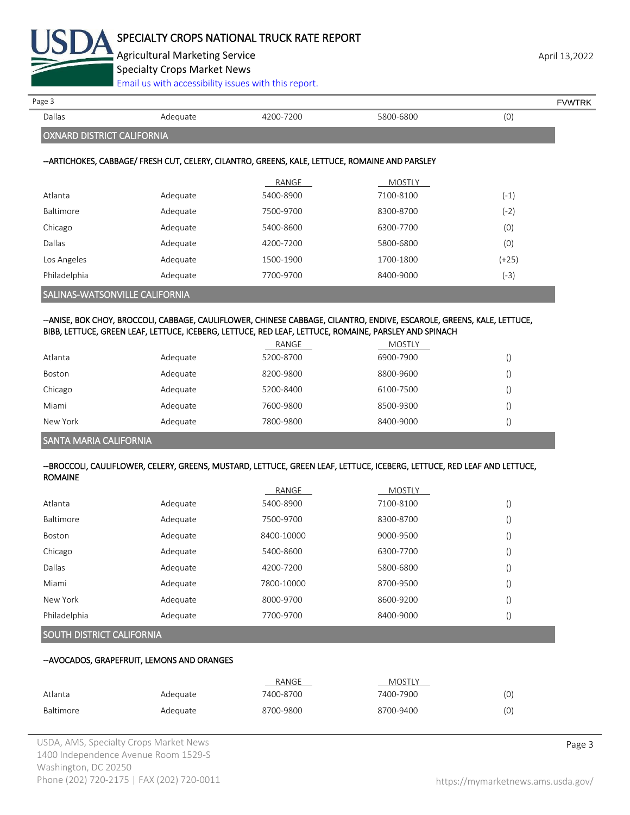

Agricultural Marketing Service **April 13,2022** April 13,2022

Specialty Crops Market News

[Email us with accessibility issues with this report.](mailto:mars@ams.usda.gov?subject=508%20Inquiry/Report)

# OXNARD DISTRICT CALIFORNIA

#### --ARTICHOKES, CABBAGE/ FRESH CUT, CELERY, CILANTRO, GREENS, KALE, LETTUCE, ROMAINE AND PARSLEY

|                                |          | RANGE     | <b>MOSTLY</b> |         |
|--------------------------------|----------|-----------|---------------|---------|
| Atlanta                        | Adequate | 5400-8900 | 7100-8100     | $(-1)$  |
| Baltimore                      | Adequate | 7500-9700 | 8300-8700     | (-2)    |
| Chicago                        | Adequate | 5400-8600 | 6300-7700     | (0)     |
| Dallas                         | Adequate | 4200-7200 | 5800-6800     | (0)     |
| Los Angeles                    | Adequate | 1500-1900 | 1700-1800     | $(+25)$ |
| Philadelphia                   | Adequate | 7700-9700 | 8400-9000     | $(-3)$  |
| SALINAS-WATSONVILLE CALIFORNIA |          |           |               |         |

#### --ANISE, BOK CHOY, BROCCOLI, CABBAGE, CAULIFLOWER, CHINESE CABBAGE, CILANTRO, ENDIVE, ESCAROLE, GREENS, KALE, LETTUCE, BIBB, LETTUCE, GREEN LEAF, LETTUCE, ICEBERG, LETTUCE, RED LEAF, LETTUCE, ROMAINE, PARSLEY AND SPINACH

|          |          | RANGE     | <b>MOSTLY</b> |  |
|----------|----------|-----------|---------------|--|
| Atlanta  | Adequate | 5200-8700 | 6900-7900     |  |
| Boston   | Adequate | 8200-9800 | 8800-9600     |  |
| Chicago  | Adequate | 5200-8400 | 6100-7500     |  |
| Miami    | Adequate | 7600-9800 | 8500-9300     |  |
| New York | Adequate | 7800-9800 | 8400-9000     |  |

#### SANTA MARIA CALIFORNIA

#### --BROCCOLI, CAULIFLOWER, CELERY, GREENS, MUSTARD, LETTUCE, GREEN LEAF, LETTUCE, ICEBERG, LETTUCE, RED LEAF AND LETTUCE, ROMAINE

|              |          | RANGE      | <b>MOSTLY</b> |        |
|--------------|----------|------------|---------------|--------|
| Atlanta      | Adequate | 5400-8900  | 7100-8100     | $\cup$ |
| Baltimore    | Adequate | 7500-9700  | 8300-8700     |        |
| Boston       | Adequate | 8400-10000 | 9000-9500     | $\cup$ |
| Chicago      | Adequate | 5400-8600  | 6300-7700     |        |
| Dallas       | Adequate | 4200-7200  | 5800-6800     | U      |
| Miami        | Adequate | 7800-10000 | 8700-9500     |        |
| New York     | Adequate | 8000-9700  | 8600-9200     |        |
| Philadelphia | Adequate | 7700-9700  | 8400-9000     | $\cup$ |
|              |          |            |               |        |

#### SOUTH DISTRICT CALIFORNIA

#### --AVOCADOS, GRAPEFRUIT, LEMONS AND ORANGES

|           |          | RANGE     | <b>MOSTLY</b> |     |
|-----------|----------|-----------|---------------|-----|
| Atlanta   | Adequate | 7400-8700 | 7400-7900     | (0) |
| Baltimore | Adequate | 8700-9800 | 8700-9400     | (0) |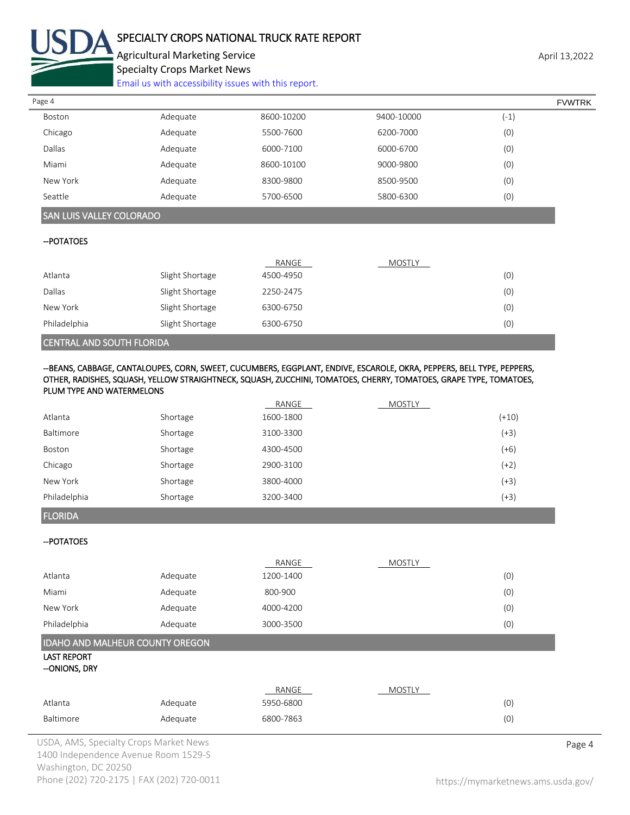

### SPECIALTY CROPS NATIONAL TRUCK RATE REPORT

Agricultural Marketing Service **April 13,2022** Specialty Crops Market News

[Email us with accessibility issues with this report.](mailto:mars@ams.usda.gov?subject=508%20Inquiry/Report)

| Page 4                          |                 |            |               | <b>FVWTRK</b> |  |
|---------------------------------|-----------------|------------|---------------|---------------|--|
| Boston                          | Adequate        | 8600-10200 | 9400-10000    | $(-1)$        |  |
| Chicago                         | Adequate        | 5500-7600  | 6200-7000     | (0)           |  |
| Dallas                          | Adequate        | 6000-7100  | 6000-6700     | (0)           |  |
| Miami                           | Adequate        | 8600-10100 | 9000-9800     | (0)           |  |
| New York                        | Adequate        | 8300-9800  | 8500-9500     | (0)           |  |
| Seattle                         | Adequate        | 5700-6500  | 5800-6300     | (0)           |  |
| <b>SAN LUIS VALLEY COLORADO</b> |                 |            |               |               |  |
| -- POTATOES                     |                 |            |               |               |  |
|                                 |                 | RANGE      | <b>MOSTLY</b> |               |  |
| Atlanta                         | Slight Shortage | 4500-4950  |               | (0)           |  |
| Dallas                          | Slight Shortage | 2250-2475  |               | (0)           |  |
| New York                        | Slight Shortage | 6300-6750  |               | (0)           |  |

#### CENTRAL AND SOUTH FLORIDA

--BEANS, CABBAGE, CANTALOUPES, CORN, SWEET, CUCUMBERS, EGGPLANT, ENDIVE, ESCAROLE, OKRA, PEPPERS, BELL TYPE, PEPPERS, OTHER, RADISHES, SQUASH, YELLOW STRAIGHTNECK, SQUASH, ZUCCHINI, TOMATOES, CHERRY, TOMATOES, GRAPE TYPE, TOMATOES, PLUM TYPE AND WATERMELONS

Philadelphia Slight Shortage 6300-6750 (0)

|              |          | RANGE     | <b>MOSTLY</b> |         |
|--------------|----------|-----------|---------------|---------|
| Atlanta      | Shortage | 1600-1800 |               | $(+10)$ |
| Baltimore    | Shortage | 3100-3300 |               | $(+3)$  |
| Boston       | Shortage | 4300-4500 |               | $(+6)$  |
| Chicago      | Shortage | 2900-3100 |               | $(+2)$  |
| New York     | Shortage | 3800-4000 |               | $(+3)$  |
| Philadelphia | Shortage | 3200-3400 |               | $(+3)$  |

FLORIDA

--POTATOES

|              |          | RANGE     | <b>MOSTLY</b> |     |
|--------------|----------|-----------|---------------|-----|
| Atlanta      | Adequate | 1200-1400 |               | (0) |
| Miami        | Adequate | 800-900   |               | (0) |
| New York     | Adequate | 4000-4200 |               | (0) |
| Philadelphia | Adequate | 3000-3500 |               | (0) |

#### IDAHO AND MALHEUR COUNTY OREGON

LAST REPORT

--ONIONS, DRY

|           |          | RANGE     | <b>MOSTLY</b> |     |
|-----------|----------|-----------|---------------|-----|
| Atlanta   | Adequate | 5950-6800 |               | (0) |
| Baltimore | Adequate | 6800-7863 |               | (0) |

USDA, AMS, Specialty Crops Market News **Page 4** 1400 Independence Avenue Room 1529-S Washington, DC 20250 Phone (202) 720-2175 | FAX (202) 720-0011 <https://mymarketnews.ams.usda.gov/>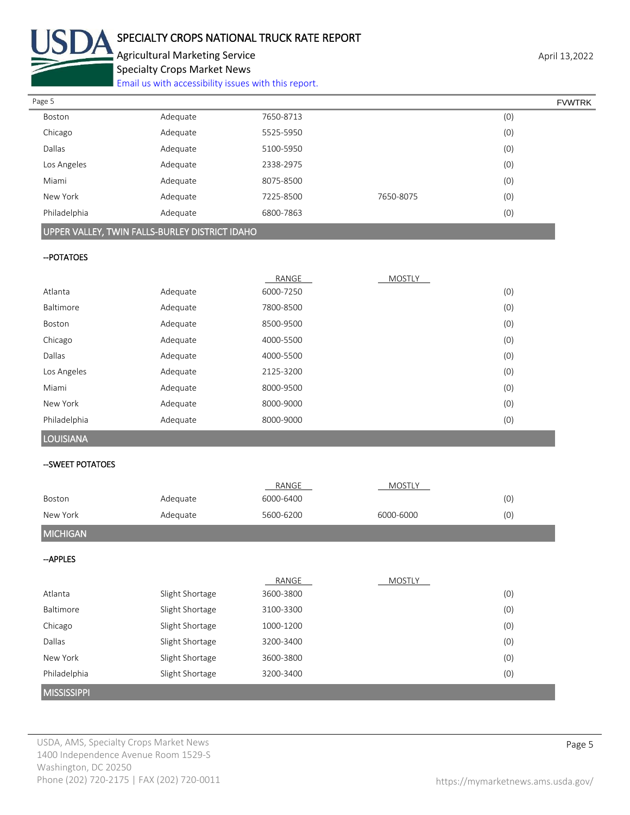

# SPECIALTY CROPS NATIONAL TRUCK RATE REPORT

Agricultural Marketing Service **April 13,2022** Specialty Crops Market News

[Email us with accessibility issues with this report.](mailto:mars@ams.usda.gov?subject=508%20Inquiry/Report)

| Page 5        |          |           |           | <b>FVWTRK</b> |
|---------------|----------|-----------|-----------|---------------|
| Boston        | Adequate | 7650-8713 |           | (0)           |
| Chicago       | Adequate | 5525-5950 |           | (0)           |
| <b>Dallas</b> | Adequate | 5100-5950 |           | (0)           |
| Los Angeles   | Adequate | 2338-2975 |           | (0)           |
| Miami         | Adequate | 8075-8500 |           | (0)           |
| New York      | Adequate | 7225-8500 | 7650-8075 | (0)           |
| Philadelphia  | Adequate | 6800-7863 |           | (0)           |
|               |          |           |           |               |

#### UPPER VALLEY, TWIN FALLS-BURLEY DISTRICT IDAHO

#### --POTATOES

|              |          | RANGE     | <b>MOSTLY</b> |     |
|--------------|----------|-----------|---------------|-----|
| Atlanta      | Adequate | 6000-7250 |               | (0) |
| Baltimore    | Adequate | 7800-8500 |               | (0) |
| Boston       | Adequate | 8500-9500 |               | (0) |
| Chicago      | Adequate | 4000-5500 |               | (0) |
| Dallas       | Adequate | 4000-5500 |               | (0) |
| Los Angeles  | Adequate | 2125-3200 |               | (0) |
| Miami        | Adequate | 8000-9500 |               | (0) |
| New York     | Adequate | 8000-9000 |               | (0) |
| Philadelphia | Adequate | 8000-9000 |               | (0) |

LOUISIANA

#### --SWEET POTATOES

|                    |                 | RANGE     | <b>MOSTLY</b> |     |
|--------------------|-----------------|-----------|---------------|-----|
| Boston             | Adequate        | 6000-6400 |               | (0) |
| New York           | Adequate        | 5600-6200 | 6000-6000     | (0) |
| <b>MICHIGAN</b>    |                 |           |               |     |
| --APPLES           |                 |           |               |     |
|                    |                 | RANGE     | <b>MOSTLY</b> |     |
| Atlanta            | Slight Shortage | 3600-3800 |               | (0) |
| Baltimore          | Slight Shortage | 3100-3300 |               | (0) |
| Chicago            | Slight Shortage | 1000-1200 |               | (0) |
| Dallas             | Slight Shortage | 3200-3400 |               | (0) |
| New York           | Slight Shortage | 3600-3800 |               | (0) |
| Philadelphia       | Slight Shortage | 3200-3400 |               | (0) |
| <b>MISSISSIPPI</b> |                 |           |               |     |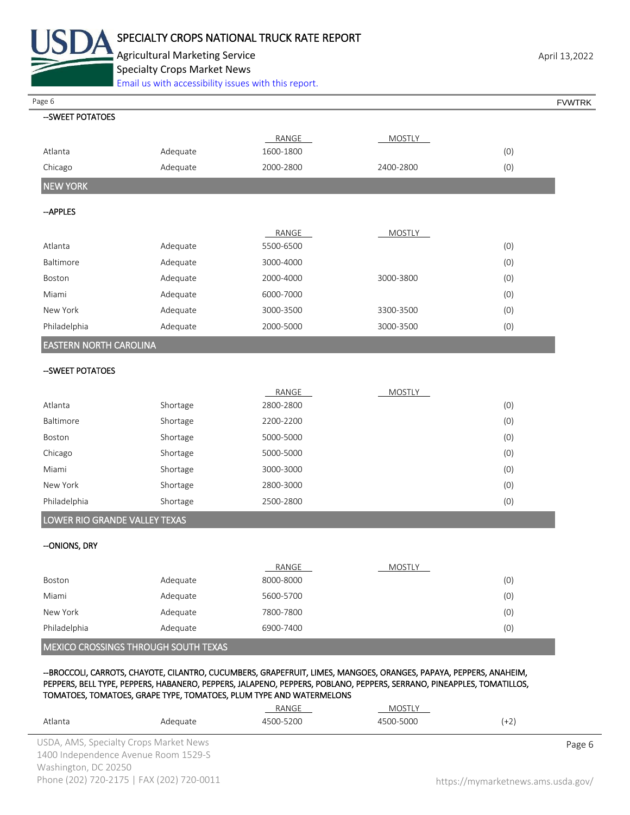

Agricultural Marketing Service **April 13,2022** April 13,2022 Specialty Crops Market News

[Email us with accessibility issues with this report.](mailto:mars@ams.usda.gov?subject=508%20Inquiry/Report)

| Page 6                        |                                             |                                                                     |                                                                                                                       |        | <b>FVWTRK</b> |
|-------------------------------|---------------------------------------------|---------------------------------------------------------------------|-----------------------------------------------------------------------------------------------------------------------|--------|---------------|
| --SWEET POTATOES              |                                             |                                                                     |                                                                                                                       |        |               |
|                               |                                             | RANGE                                                               | <b>MOSTLY</b>                                                                                                         |        |               |
| Atlanta                       | Adequate                                    | 1600-1800                                                           |                                                                                                                       | (0)    |               |
| Chicago                       | Adequate                                    | 2000-2800                                                           | 2400-2800                                                                                                             | (0)    |               |
| <b>NEW YORK</b>               |                                             |                                                                     |                                                                                                                       |        |               |
| -- APPLES                     |                                             |                                                                     |                                                                                                                       |        |               |
|                               |                                             | RANGE                                                               | <b>MOSTLY</b>                                                                                                         |        |               |
| Atlanta                       | Adequate                                    | 5500-6500                                                           |                                                                                                                       | (0)    |               |
| Baltimore                     | Adequate                                    | 3000-4000                                                           |                                                                                                                       | (0)    |               |
| Boston                        | Adequate                                    | 2000-4000                                                           | 3000-3800                                                                                                             | (0)    |               |
| Miami                         | Adequate                                    | 6000-7000                                                           |                                                                                                                       | (0)    |               |
| New York                      | Adequate                                    | 3000-3500                                                           | 3300-3500                                                                                                             | (0)    |               |
| Philadelphia                  | Adequate                                    | 2000-5000                                                           | 3000-3500                                                                                                             | (0)    |               |
| <b>EASTERN NORTH CAROLINA</b> |                                             |                                                                     |                                                                                                                       |        |               |
| --SWEET POTATOES              |                                             |                                                                     |                                                                                                                       |        |               |
|                               |                                             | RANGE                                                               | <b>MOSTLY</b>                                                                                                         |        |               |
| Atlanta                       | Shortage                                    | 2800-2800                                                           |                                                                                                                       | (0)    |               |
| Baltimore                     | Shortage                                    | 2200-2200                                                           |                                                                                                                       | (0)    |               |
| Boston                        | Shortage                                    | 5000-5000                                                           |                                                                                                                       | (0)    |               |
| Chicago                       | Shortage                                    | 5000-5000                                                           |                                                                                                                       | (0)    |               |
| Miami                         | Shortage                                    | 3000-3000                                                           |                                                                                                                       | (0)    |               |
| New York                      | Shortage                                    | 2800-3000                                                           |                                                                                                                       | (0)    |               |
| Philadelphia                  | Shortage                                    | 2500-2800                                                           |                                                                                                                       | (0)    |               |
| LOWER RIO GRANDE VALLEY TEXAS |                                             |                                                                     |                                                                                                                       |        |               |
| --ONIONS, DRY                 |                                             |                                                                     |                                                                                                                       |        |               |
|                               |                                             | RANGE                                                               | <b>MOSTLY</b>                                                                                                         |        |               |
| Boston                        | Adequate                                    | 8000-8000                                                           |                                                                                                                       | (0)    |               |
| Miami                         | Adequate                                    | 5600-5700                                                           |                                                                                                                       | (0)    |               |
| New York                      | Adequate                                    | 7800-7800                                                           |                                                                                                                       | (0)    |               |
| Philadelphia                  | Adequate                                    | 6900-7400                                                           |                                                                                                                       | (0)    |               |
|                               | <b>MEXICO CROSSINGS THROUGH SOUTH TEXAS</b> |                                                                     |                                                                                                                       |        |               |
|                               |                                             |                                                                     | --BROCCOLI, CARROTS, CHAYOTE, CILANTRO, CUCUMBERS, GRAPEFRUIT, LIMES, MANGOES, ORANGES, PAPAYA, PEPPERS, ANAHEIM,     |        |               |
|                               |                                             | TOMATOES, TOMATOES, GRAPE TYPE, TOMATOES, PLUM TYPE AND WATERMELONS | PEPPERS, BELL TYPE, PEPPERS, HABANERO, PEPPERS, JALAPENO, PEPPERS, POBLANO, PEPPERS, SERRANO, PINEAPPLES, TOMATILLOS, |        |               |
|                               |                                             | RANGE                                                               | MOSTLY                                                                                                                |        |               |
| Atlanta                       | Adequate                                    | 4500-5200                                                           | 4500-5000                                                                                                             | $(+2)$ |               |

USDA, AMS, Specialty Crops Market News **Page 6** 1400 Independence Avenue Room 1529-S Washington, DC 20250 Phone (202) 720-2175 | FAX (202) 720-0011 <https://mymarketnews.ams.usda.gov/>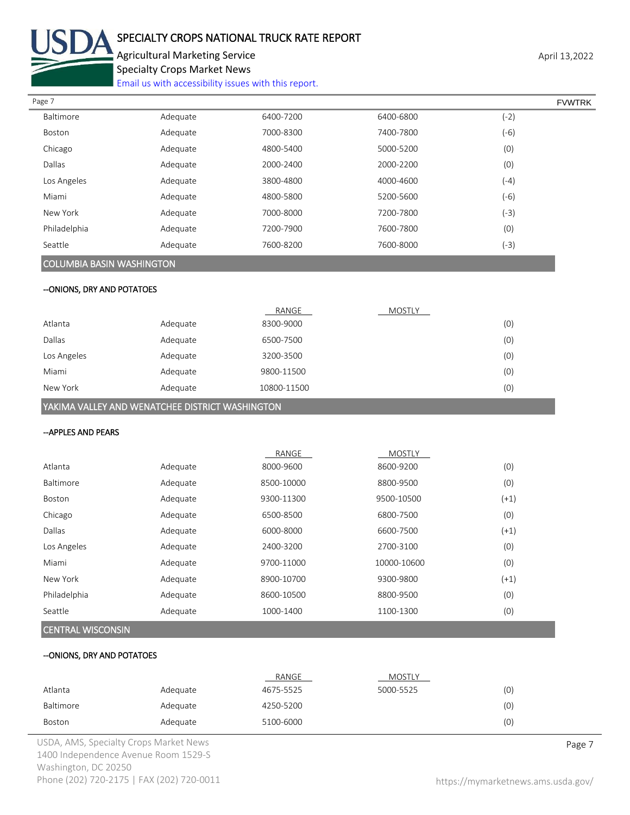

# SPECIALTY CROPS NATIONAL TRUCK RATE REPORT

Agricultural Marketing Service **April 13,2022** Specialty Crops Market News

[Email us with accessibility issues with this report.](mailto:mars@ams.usda.gov?subject=508%20Inquiry/Report)

| Page 7       |          |           |           | <b>FVWTRK</b> |  |
|--------------|----------|-----------|-----------|---------------|--|
| Baltimore    | Adequate | 6400-7200 | 6400-6800 | $(-2)$        |  |
| Boston       | Adequate | 7000-8300 | 7400-7800 | $(-6)$        |  |
| Chicago      | Adequate | 4800-5400 | 5000-5200 | (0)           |  |
| Dallas       | Adequate | 2000-2400 | 2000-2200 | (0)           |  |
| Los Angeles  | Adequate | 3800-4800 | 4000-4600 | $(-4)$        |  |
| Miami        | Adequate | 4800-5800 | 5200-5600 | $(-6)$        |  |
| New York     | Adequate | 7000-8000 | 7200-7800 | $(-3)$        |  |
| Philadelphia | Adequate | 7200-7900 | 7600-7800 | (0)           |  |
| Seattle      | Adequate | 7600-8200 | 7600-8000 | $(-3)$        |  |
|              |          |           |           |               |  |

#### COLUMBIA BASIN WASHINGTON

#### --ONIONS, DRY AND POTATOES

|             |          | RANGE       | <b>MOSTLY</b> |     |
|-------------|----------|-------------|---------------|-----|
| Atlanta     | Adequate | 8300-9000   |               | (0) |
| Dallas      | Adequate | 6500-7500   |               | (0) |
| Los Angeles | Adequate | 3200-3500   |               | (0) |
| Miami       | Adequate | 9800-11500  |               | (0) |
| New York    | Adequate | 10800-11500 |               | (0) |

YAKIMA VALLEY AND WENATCHEE DISTRICT WASHINGTON

#### --APPLES AND PEARS

| (0)<br>(0) |
|------------|
|            |
|            |
| $(+1)$     |
| (0)        |
| $(+1)$     |
| (0)        |
| (0)        |
| $(+1)$     |
| (0)        |
| (0)        |
|            |

### CENTRAL WISCONSIN

#### --ONIONS, DRY AND POTATOES

|           |          | RANGE     | MOSTLY    |     |
|-----------|----------|-----------|-----------|-----|
| Atlanta   | Adequate | 4675-5525 | 5000-5525 | (0) |
| Baltimore | Adequate | 4250-5200 |           | (0) |
| Boston    | Adequate | 5100-6000 |           | (0) |

USDA, AMS, Specialty Crops Market News **Page 7** 1400 Independence Avenue Room 1529-S Washington, DC 20250 Phone (202) 720-2175 | FAX (202) 720-0011 <https://mymarketnews.ams.usda.gov/>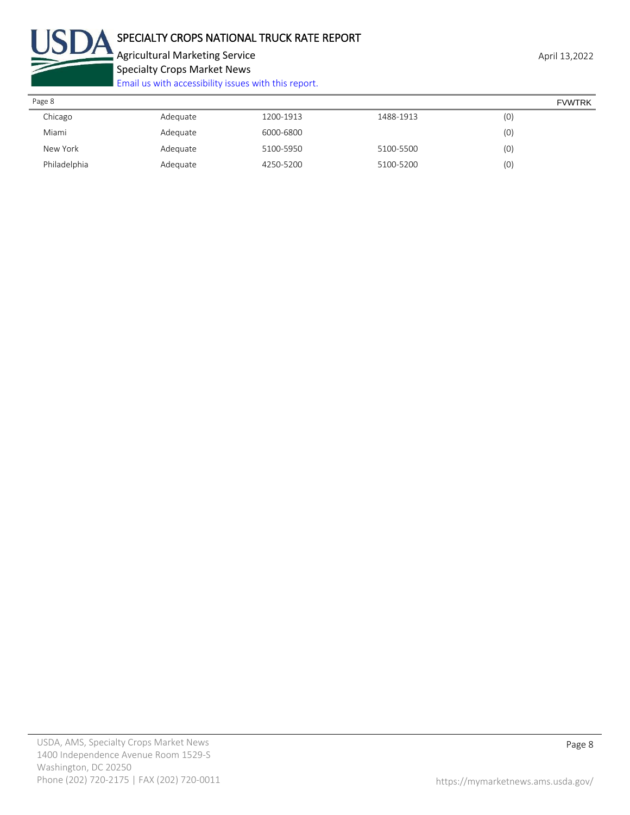

Agricultural Marketing Service **April 13,2022** April 13,2022 Specialty Crops Market News [Email us with accessibility issues with this report.](mailto:mars@ams.usda.gov?subject=508%20Inquiry/Report)

| Page 8       |          |           |           |     | <b>FVWTRK</b> |
|--------------|----------|-----------|-----------|-----|---------------|
| Chicago      | Adequate | 1200-1913 | 1488-1913 | (0) |               |
| Miami        | Adequate | 6000-6800 |           | (0) |               |
| New York     | Adequate | 5100-5950 | 5100-5500 | (0) |               |
| Philadelphia | Adequate | 4250-5200 | 5100-5200 | (0) |               |